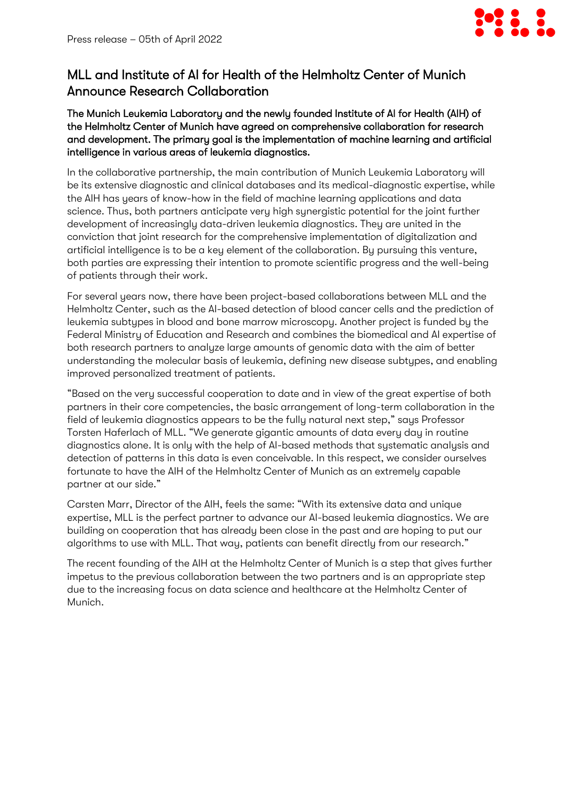

## MLL and Institute of AI for Health of the Helmholtz Center of Munich Announce Research Collaboration

The Munich Leukemia Laboratory and the newly founded Institute of AI for Health (AIH) of the Helmholtz Center of Munich have agreed on comprehensive collaboration for research and development. The primary goal is the implementation of machine learning and artificial intelligence in various areas of leukemia diagnostics.

In the collaborative partnership, the main contribution of Munich Leukemia Laboratory will be its extensive diagnostic and clinical databases and its medical-diagnostic expertise, while the AIH has years of know-how in the field of machine learning applications and data science. Thus, both partners anticipate very high synergistic potential for the joint further development of increasingly data-driven leukemia diagnostics. They are united in the conviction that joint research for the comprehensive implementation of digitalization and artificial intelligence is to be a key element of the collaboration. By pursuing this venture, both parties are expressing their intention to promote scientific progress and the well-being of patients through their work.

For several years now, there have been project-based collaborations between MLL and the Helmholtz Center, such as the AI-based detection of blood cancer cells and the prediction of leukemia subtypes in blood and bone marrow microscopy. Another project is funded by the Federal Ministry of Education and Research and combines the biomedical and AI expertise of both research partners to analyze large amounts of genomic data with the aim of better understanding the molecular basis of leukemia, defining new disease subtypes, and enabling improved personalized treatment of patients.

"Based on the very successful cooperation to date and in view of the great expertise of both partners in their core competencies, the basic arrangement of long-term collaboration in the field of leukemia diagnostics appears to be the fully natural next step," says Professor Torsten Haferlach of MLL. "We generate gigantic amounts of data every day in routine diagnostics alone. It is only with the help of AI-based methods that systematic analysis and detection of patterns in this data is even conceivable. In this respect, we consider ourselves fortunate to have the AIH of the Helmholtz Center of Munich as an extremely capable partner at our side."

Carsten Marr, Director of the AIH, feels the same: "With its extensive data and unique expertise, MLL is the perfect partner to advance our AI-based leukemia diagnostics. We are building on cooperation that has already been close in the past and are hoping to put our algorithms to use with MLL. That way, patients can benefit directly from our research."

The recent founding of the AIH at the Helmholtz Center of Munich is a step that gives further impetus to the previous collaboration between the two partners and is an appropriate step due to the increasing focus on data science and healthcare at the Helmholtz Center of Munich.